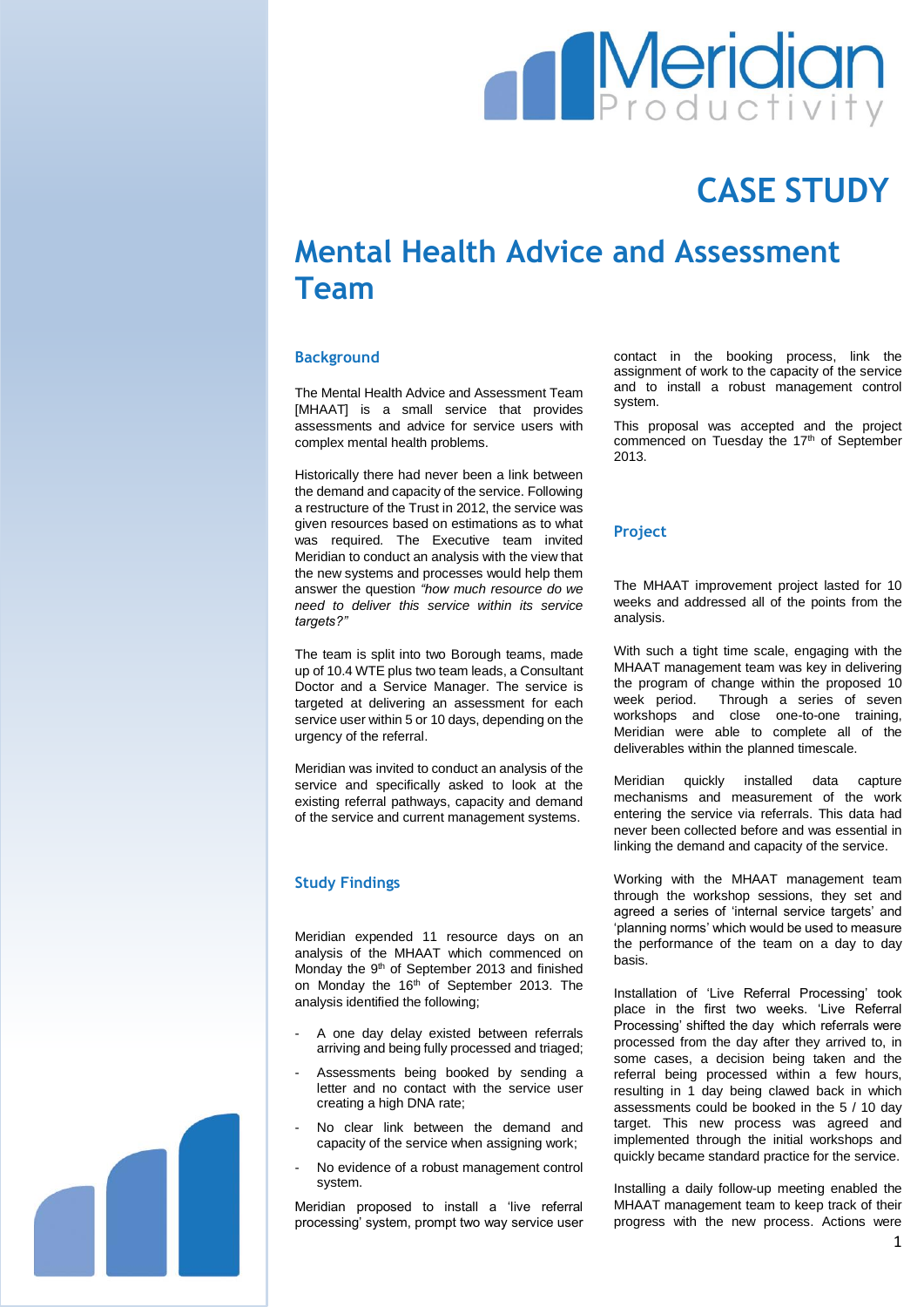

# **CASE STUDY**

# **Mental Health Advice and Assessment Team**

# **Background**

The Mental Health Advice and Assessment Team [MHAAT] is a small service that provides assessments and advice for service users with complex mental health problems.

Historically there had never been a link between the demand and capacity of the service. Following a restructure of the Trust in 2012, the service was given resources based on estimations as to what was required. The Executive team invited Meridian to conduct an analysis with the view that the new systems and processes would help them answer the question *"how much resource do we need to deliver this service within its service targets?"*

The team is split into two Borough teams, made up of 10.4 WTE plus two team leads, a Consultant Doctor and a Service Manager. The service is targeted at delivering an assessment for each service user within 5 or 10 days, depending on the urgency of the referral.

Meridian was invited to conduct an analysis of the service and specifically asked to look at the existing referral pathways, capacity and demand of the service and current management systems.

# **Study Findings**

Meridian expended 11 resource days on an analysis of the MHAAT which commenced on Monday the 9<sup>th</sup> of September 2013 and finished on Monday the 16<sup>th</sup> of September 2013. The analysis identified the following;

- A one day delay existed between referrals arriving and being fully processed and triaged;
- Assessments being booked by sending a letter and no contact with the service user creating a high DNA rate;
- No clear link between the demand and capacity of the service when assigning work;
- No evidence of a robust management control system.

Meridian proposed to install a 'live referral processing' system, prompt two way service user contact in the booking process, link the assignment of work to the capacity of the service and to install a robust management control system.

This proposal was accepted and the project commenced on Tuesday the 17<sup>th</sup> of September 2013.

# **Project**

The MHAAT improvement project lasted for 10 weeks and addressed all of the points from the analysis.

With such a tight time scale, engaging with the MHAAT management team was key in delivering the program of change within the proposed 10 week period. Through a series of seven workshops and close one-to-one training, Meridian were able to complete all of the deliverables within the planned timescale.

Meridian quickly installed data capture mechanisms and measurement of the work entering the service via referrals. This data had never been collected before and was essential in linking the demand and capacity of the service.

Working with the MHAAT management team through the workshop sessions, they set and agreed a series of 'internal service targets' and 'planning norms' which would be used to measure the performance of the team on a day to day basis.

Installation of 'Live Referral Processing' took place in the first two weeks. 'Live Referral Processing' shifted the day which referrals were processed from the day after they arrived to, in some cases, a decision being taken and the referral being processed within a few hours, resulting in 1 day being clawed back in which assessments could be booked in the 5 / 10 day target. This new process was agreed and implemented through the initial workshops and quickly became standard practice for the service.

Installing a daily follow-up meeting enabled the MHAAT management team to keep track of their progress with the new process. Actions were